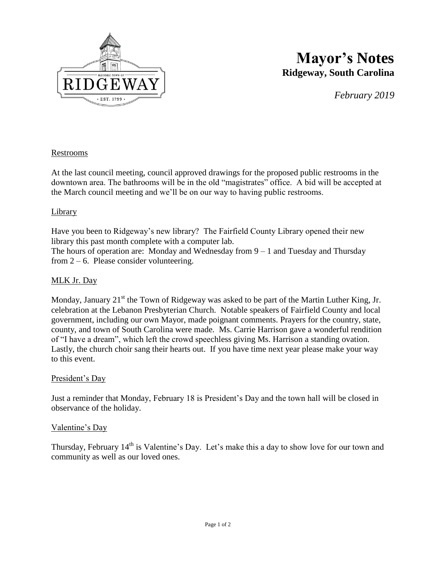

# **Mayor's Notes Ridgeway, South Carolina**

*February 2019*

# Restrooms

At the last council meeting, council approved drawings for the proposed public restrooms in the downtown area. The bathrooms will be in the old "magistrates" office. A bid will be accepted at the March council meeting and we'll be on our way to having public restrooms.

#### Library

Have you been to Ridgeway's new library? The Fairfield County Library opened their new library this past month complete with a computer lab.

The hours of operation are: Monday and Wednesday from 9 – 1 and Tuesday and Thursday from  $2 - 6$ . Please consider volunteering.

## MLK Jr. Day

Monday, January  $21<sup>st</sup>$  the Town of Ridgeway was asked to be part of the Martin Luther King, Jr. celebration at the Lebanon Presbyterian Church. Notable speakers of Fairfield County and local government, including our own Mayor, made poignant comments. Prayers for the country, state, county, and town of South Carolina were made. Ms. Carrie Harrison gave a wonderful rendition of "I have a dream", which left the crowd speechless giving Ms. Harrison a standing ovation. Lastly, the church choir sang their hearts out. If you have time next year please make your way to this event.

## President's Day

Just a reminder that Monday, February 18 is President's Day and the town hall will be closed in observance of the holiday.

#### Valentine's Day

Thursday, February  $14<sup>th</sup>$  is Valentine's Day. Let's make this a day to show love for our town and community as well as our loved ones.